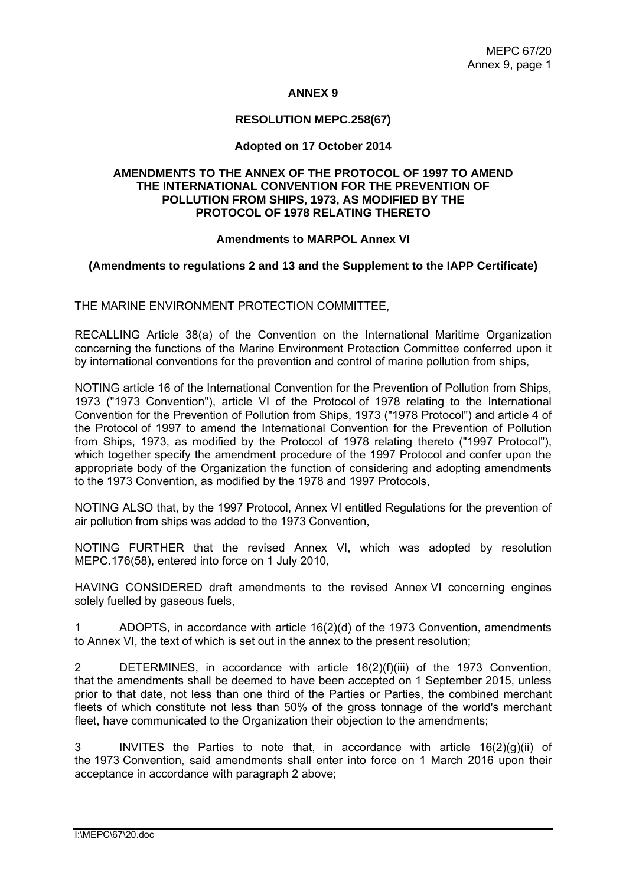# **ANNEX 9**

## **RESOLUTION MEPC.258(67)**

# **Adopted on 17 October 2014**

### **AMENDMENTS TO THE ANNEX OF THE PROTOCOL OF 1997 TO AMEND THE INTERNATIONAL CONVENTION FOR THE PREVENTION OF POLLUTION FROM SHIPS, 1973, AS MODIFIED BY THE PROTOCOL OF 1978 RELATING THERETO**

#### **Amendments to MARPOL Annex VI**

# **(Amendments to regulations 2 and 13 and the Supplement to the IAPP Certificate)**

THE MARINE ENVIRONMENT PROTECTION COMMITTEE,

RECALLING Article 38(a) of the Convention on the International Maritime Organization concerning the functions of the Marine Environment Protection Committee conferred upon it by international conventions for the prevention and control of marine pollution from ships,

NOTING article 16 of the International Convention for the Prevention of Pollution from Ships, 1973 ("1973 Convention"), article VI of the Protocol of 1978 relating to the International Convention for the Prevention of Pollution from Ships, 1973 ("1978 Protocol") and article 4 of the Protocol of 1997 to amend the International Convention for the Prevention of Pollution from Ships, 1973, as modified by the Protocol of 1978 relating thereto ("1997 Protocol"), which together specify the amendment procedure of the 1997 Protocol and confer upon the appropriate body of the Organization the function of considering and adopting amendments to the 1973 Convention, as modified by the 1978 and 1997 Protocols,

NOTING ALSO that, by the 1997 Protocol, Annex VI entitled Regulations for the prevention of air pollution from ships was added to the 1973 Convention,

NOTING FURTHER that the revised Annex VI, which was adopted by resolution MEPC.176(58), entered into force on 1 July 2010,

HAVING CONSIDERED draft amendments to the revised Annex VI concerning engines solely fuelled by gaseous fuels,

1 ADOPTS, in accordance with article 16(2)(d) of the 1973 Convention, amendments to Annex VI, the text of which is set out in the annex to the present resolution;

2 DETERMINES, in accordance with article 16(2)(f)(iii) of the 1973 Convention, that the amendments shall be deemed to have been accepted on 1 September 2015, unless prior to that date, not less than one third of the Parties or Parties, the combined merchant fleets of which constitute not less than 50% of the gross tonnage of the world's merchant fleet, have communicated to the Organization their objection to the amendments;

3 INVITES the Parties to note that, in accordance with article 16(2)(g)(ii) of the 1973 Convention, said amendments shall enter into force on 1 March 2016 upon their acceptance in accordance with paragraph 2 above;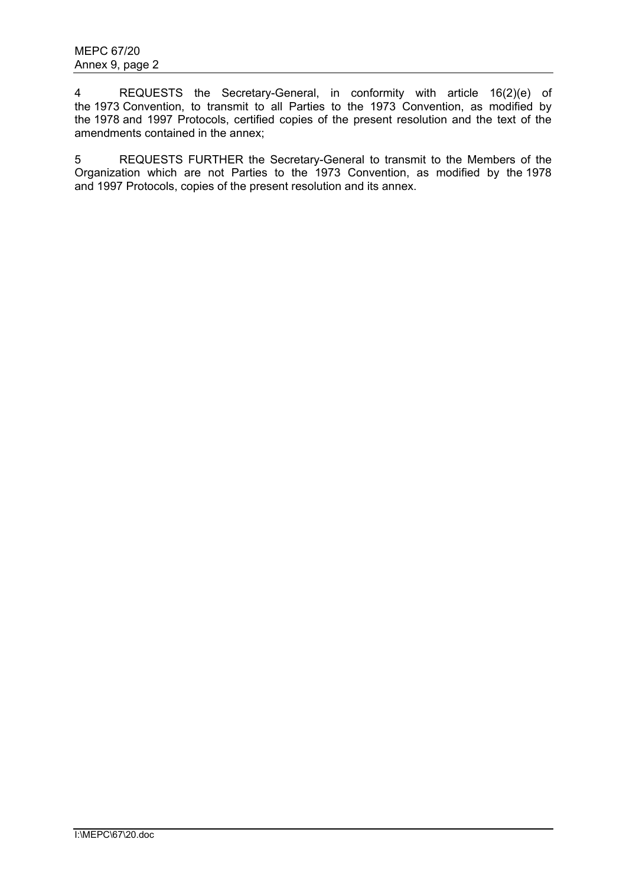4 REQUESTS the Secretary-General, in conformity with article 16(2)(e) of the 1973 Convention, to transmit to all Parties to the 1973 Convention, as modified by the 1978 and 1997 Protocols, certified copies of the present resolution and the text of the amendments contained in the annex;

5 REQUESTS FURTHER the Secretary-General to transmit to the Members of the Organization which are not Parties to the 1973 Convention, as modified by the 1978 and 1997 Protocols, copies of the present resolution and its annex.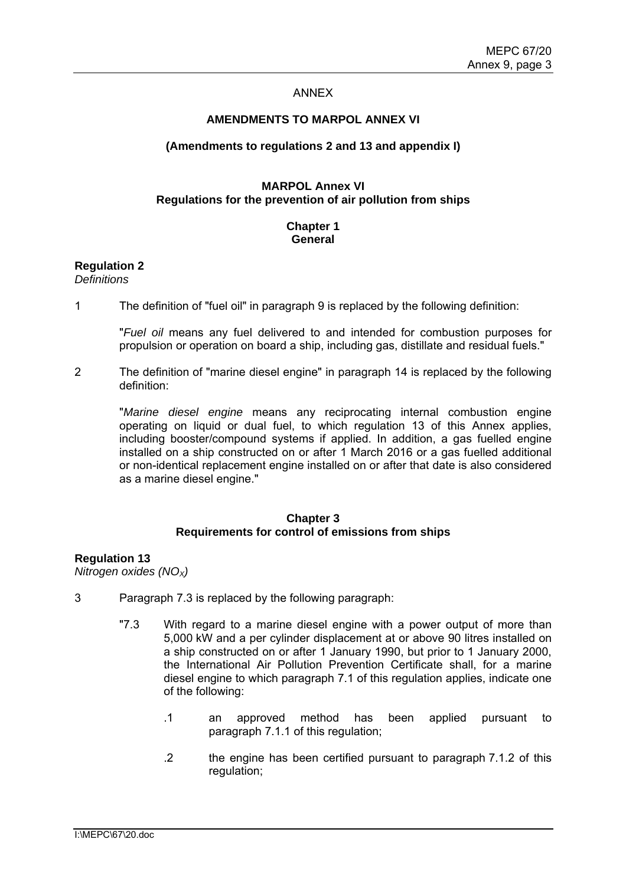#### ANNEX

#### **AMENDMENTS TO MARPOL ANNEX VI**

#### **(Amendments to regulations 2 and 13 and appendix I)**

### **MARPOL Annex VI Regulations for the prevention of air pollution from ships**

# **Chapter 1 General**

# **Regulation 2**

*Definitions* 

1 The definition of "fuel oil" in paragraph 9 is replaced by the following definition:

"*Fuel oil* means any fuel delivered to and intended for combustion purposes for propulsion or operation on board a ship, including gas, distillate and residual fuels."

2 The definition of "marine diesel engine" in paragraph 14 is replaced by the following definition:

"*Marine diesel engine* means any reciprocating internal combustion engine operating on liquid or dual fuel, to which regulation 13 of this Annex applies, including booster/compound systems if applied. In addition, a gas fuelled engine installed on a ship constructed on or after 1 March 2016 or a gas fuelled additional or non-identical replacement engine installed on or after that date is also considered as a marine diesel engine."

#### **Chapter 3 Requirements for control of emissions from ships**

#### **Regulation 13**

*Nitrogen oxides (NOX)* 

- 3 Paragraph 7.3 is replaced by the following paragraph:
	- "7.3 With regard to a marine diesel engine with a power output of more than 5,000 kW and a per cylinder displacement at or above 90 litres installed on a ship constructed on or after 1 January 1990, but prior to 1 January 2000, the International Air Pollution Prevention Certificate shall, for a marine diesel engine to which paragraph 7.1 of this regulation applies, indicate one of the following:
		- .1 an approved method has been applied pursuant to paragraph 7.1.1 of this regulation;
		- .2 the engine has been certified pursuant to paragraph 7.1.2 of this regulation;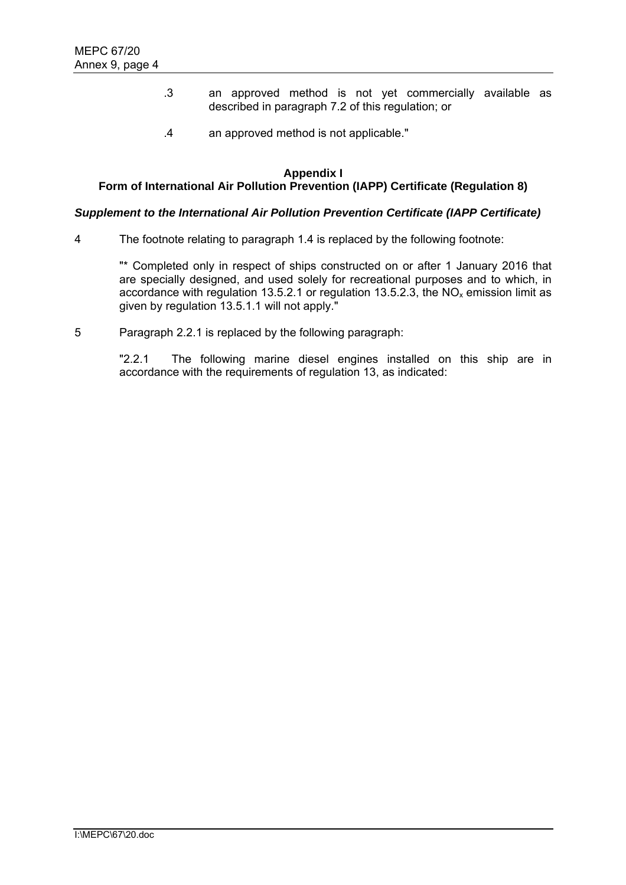- .3 an approved method is not yet commercially available as described in paragraph 7.2 of this regulation; or
- .4 an approved method is not applicable."

#### **Appendix I Form of International Air Pollution Prevention (IAPP) Certificate (Regulation 8)**

# *Supplement to the International Air Pollution Prevention Certificate (IAPP Certificate)*

4 The footnote relating to paragraph 1.4 is replaced by the following footnote:

"\* Completed only in respect of ships constructed on or after 1 January 2016 that are specially designed, and used solely for recreational purposes and to which, in accordance with regulation 13.5.2.1 or regulation 13.5.2.3, the  $NO<sub>x</sub>$  emission limit as given by regulation 13.5.1.1 will not apply."

5 Paragraph 2.2.1 is replaced by the following paragraph:

"2.2.1 The following marine diesel engines installed on this ship are in accordance with the requirements of regulation 13, as indicated: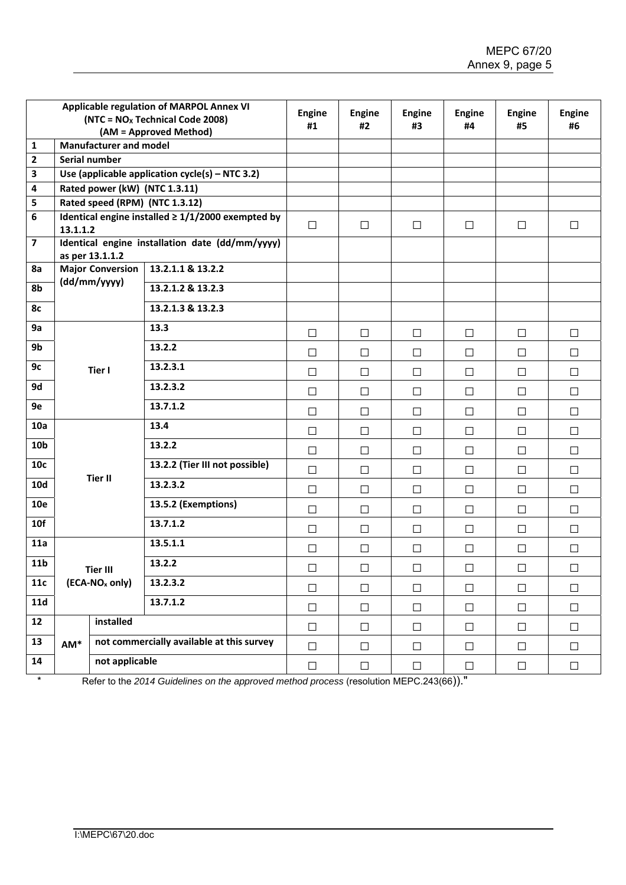|                 | Applicable regulation of MARPOL Annex VI<br>$(NTC = NOx Technical Code 2008)$<br>(AM = Approved Method) |                            |                                           | <b>Engine</b><br>#1 | <b>Engine</b><br>#2 | <b>Engine</b><br>#3 | <b>Engine</b><br>#4 | <b>Engine</b><br>#5 | <b>Engine</b><br>#6 |
|-----------------|---------------------------------------------------------------------------------------------------------|----------------------------|-------------------------------------------|---------------------|---------------------|---------------------|---------------------|---------------------|---------------------|
| $\mathbf{1}$    | <b>Manufacturer and model</b>                                                                           |                            |                                           |                     |                     |                     |                     |                     |                     |
| 2               | Serial number                                                                                           |                            |                                           |                     |                     |                     |                     |                     |                     |
| 3<br>4          | Use (applicable application $cycle(s) - NTC 3.2)$<br>Rated power (kW) (NTC 1.3.11)                      |                            |                                           |                     |                     |                     |                     |                     |                     |
| 5               | Rated speed (RPM) (NTC 1.3.12)                                                                          |                            |                                           |                     |                     |                     |                     |                     |                     |
| 6               | Identical engine installed $\geq 1/1/2000$ exempted by<br>13.1.1.2                                      |                            |                                           | $\Box$              | $\Box$              | $\Box$              | $\Box$              | $\Box$              | $\Box$              |
| $\overline{7}$  | Identical engine installation date (dd/mm/yyyy)<br>as per 13.1.1.2                                      |                            |                                           |                     |                     |                     |                     |                     |                     |
| 8a              | <b>Major Conversion</b><br>(dd/mm/yyyy)                                                                 |                            | 13.2.1.1 & 13.2.2                         |                     |                     |                     |                     |                     |                     |
| 8b              |                                                                                                         |                            | 13.2.1.2 & 13.2.3                         |                     |                     |                     |                     |                     |                     |
| 8с              |                                                                                                         |                            | 13.2.1.3 & 13.2.3                         |                     |                     |                     |                     |                     |                     |
| 9a              | Tier I                                                                                                  |                            | 13.3                                      | $\Box$              | $\Box$              | □                   | $\Box$              | $\Box$              | $\Box$              |
| 9b              |                                                                                                         | 13.2.2                     | $\Box$                                    | $\Box$              | $\Box$              | $\Box$              | $\Box$              | $\Box$              |                     |
| 9с              |                                                                                                         |                            | 13.2.3.1                                  | $\Box$              | $\Box$              | $\Box$              | $\Box$              | $\Box$              | $\Box$              |
| 9d              |                                                                                                         |                            | 13.2.3.2                                  | $\Box$              | $\Box$              | □                   | □                   | □                   | $\Box$              |
| 9e              |                                                                                                         |                            | 13.7.1.2                                  | $\Box$              | $\Box$              | $\Box$              | $\Box$              | □                   | $\Box$              |
| 10a             |                                                                                                         |                            | 13.4                                      | □                   | $\Box$              | □                   | $\Box$              | □                   | $\Box$              |
| 10 <sub>b</sub> |                                                                                                         |                            | 13.2.2                                    | $\Box$              | $\Box$              | $\Box$              | $\Box$              | $\Box$              | $\Box$              |
| 10c             |                                                                                                         | <b>Tier II</b>             | 13.2.2 (Tier III not possible)            | $\Box$              | $\Box$              | □                   | $\Box$              | $\Box$              | $\Box$              |
| 10d             |                                                                                                         |                            | 13.2.3.2                                  | $\Box$              | $\Box$              | □                   | $\Box$              | $\Box$              | $\Box$              |
| 10e             |                                                                                                         |                            | 13.5.2 (Exemptions)                       | $\Box$              | $\Box$              | П                   | $\Box$              | П                   | $\Box$              |
| 10f             |                                                                                                         |                            | 13.7.1.2                                  | $\Box$              | $\Box$              | □                   | □                   | $\Box$              | $\Box$              |
| 11a             | Tier III                                                                                                |                            | 13.5.1.1                                  | $\Box$              | $\Box$              | □                   | $\Box$              | $\Box$              | $\Box$              |
| 11 <sub>b</sub> |                                                                                                         |                            | 13.2.2                                    | $\Box$              | $\Box$              | $\Box$              | $\Box$              | $\Box$              | $\Box$              |
| 11c             |                                                                                                         | (ECA-NO <sub>x</sub> only) | 13.2.3.2                                  | $\Box$              | $\Box$              | $\Box$              | $\Box$              | $\Box$              | $\Box$              |
| <b>11d</b>      |                                                                                                         |                            | 13.7.1.2                                  | $\Box$              | $\Box$              | $\Box$              | $\Box$              | $\Box$              | $\Box$              |
| 12              |                                                                                                         | installed                  |                                           |                     | $\Box$              | $\Box$              | $\Box$              | $\Box$              | $\Box$              |
| 13              | AM*                                                                                                     |                            | not commercially available at this survey |                     | $\Box$              | $\Box$              | $\Box$              | $\Box$              | $\Box$              |
| 14              | not applicable                                                                                          |                            |                                           | $\Box$              | $\Box$              | $\Box$              | $\Box$              | $\Box$              | $\Box$              |

\* Refer to the *2014 Guidelines on the approved method process* (resolution MEPC.243(66))."